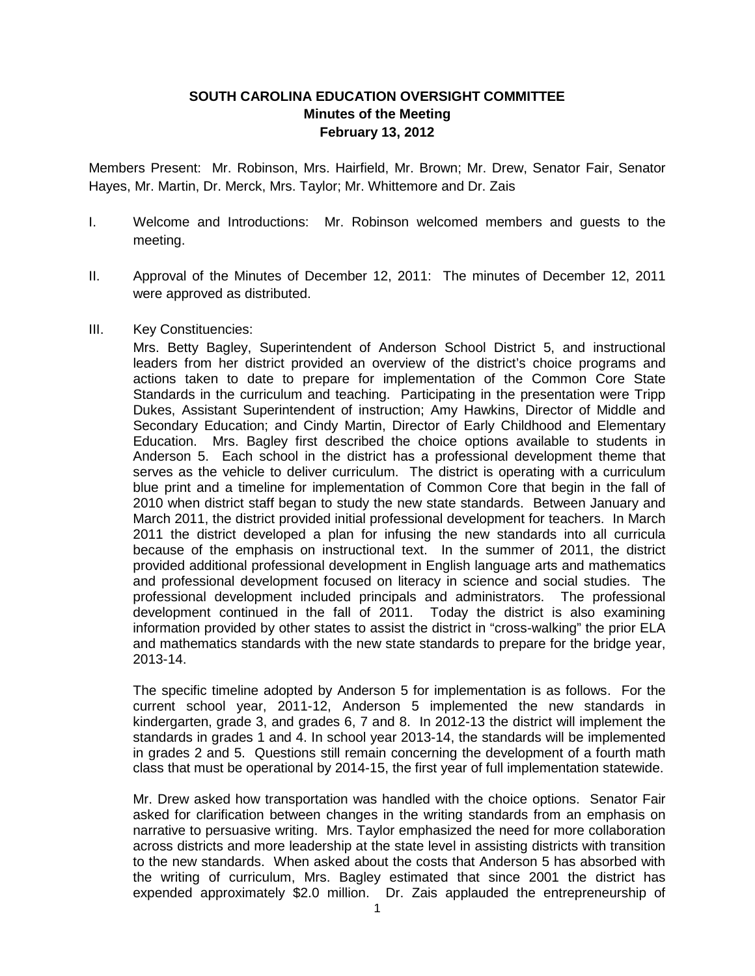# **SOUTH CAROLINA EDUCATION OVERSIGHT COMMITTEE Minutes of the Meeting February 13, 2012**

Members Present: Mr. Robinson, Mrs. Hairfield, Mr. Brown; Mr. Drew, Senator Fair, Senator Hayes, Mr. Martin, Dr. Merck, Mrs. Taylor; Mr. Whittemore and Dr. Zais

- I. Welcome and Introductions: Mr. Robinson welcomed members and guests to the meeting.
- II. Approval of the Minutes of December 12, 2011: The minutes of December 12, 2011 were approved as distributed.
- III. Key Constituencies:

Mrs. Betty Bagley, Superintendent of Anderson School District 5, and instructional leaders from her district provided an overview of the district's choice programs and actions taken to date to prepare for implementation of the Common Core State Standards in the curriculum and teaching. Participating in the presentation were Tripp Dukes, Assistant Superintendent of instruction; Amy Hawkins, Director of Middle and Secondary Education; and Cindy Martin, Director of Early Childhood and Elementary Education. Mrs. Bagley first described the choice options available to students in Anderson 5. Each school in the district has a professional development theme that serves as the vehicle to deliver curriculum. The district is operating with a curriculum blue print and a timeline for implementation of Common Core that begin in the fall of 2010 when district staff began to study the new state standards. Between January and March 2011, the district provided initial professional development for teachers. In March 2011 the district developed a plan for infusing the new standards into all curricula because of the emphasis on instructional text. In the summer of 2011, the district provided additional professional development in English language arts and mathematics and professional development focused on literacy in science and social studies. The professional development included principals and administrators. The professional development continued in the fall of 2011. Today the district is also examining information provided by other states to assist the district in "cross-walking" the prior ELA and mathematics standards with the new state standards to prepare for the bridge year, 2013-14.

The specific timeline adopted by Anderson 5 for implementation is as follows. For the current school year, 2011-12, Anderson 5 implemented the new standards in kindergarten, grade 3, and grades 6, 7 and 8. In 2012-13 the district will implement the standards in grades 1 and 4. In school year 2013-14, the standards will be implemented in grades 2 and 5. Questions still remain concerning the development of a fourth math class that must be operational by 2014-15, the first year of full implementation statewide.

Mr. Drew asked how transportation was handled with the choice options. Senator Fair asked for clarification between changes in the writing standards from an emphasis on narrative to persuasive writing. Mrs. Taylor emphasized the need for more collaboration across districts and more leadership at the state level in assisting districts with transition to the new standards. When asked about the costs that Anderson 5 has absorbed with the writing of curriculum, Mrs. Bagley estimated that since 2001 the district has expended approximately \$2.0 million. Dr. Zais applauded the entrepreneurship of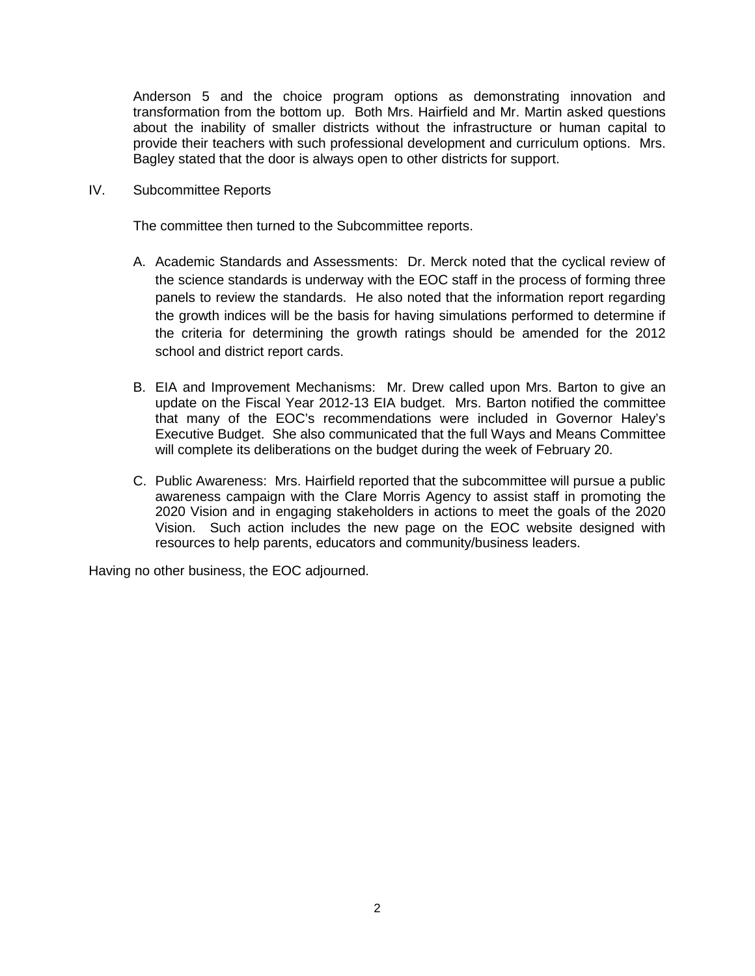Anderson 5 and the choice program options as demonstrating innovation and transformation from the bottom up. Both Mrs. Hairfield and Mr. Martin asked questions about the inability of smaller districts without the infrastructure or human capital to provide their teachers with such professional development and curriculum options. Mrs. Bagley stated that the door is always open to other districts for support.

IV. Subcommittee Reports

The committee then turned to the Subcommittee reports.

- A. Academic Standards and Assessments: Dr. Merck noted that the cyclical review of the science standards is underway with the EOC staff in the process of forming three panels to review the standards. He also noted that the information report regarding the growth indices will be the basis for having simulations performed to determine if the criteria for determining the growth ratings should be amended for the 2012 school and district report cards.
- B. EIA and Improvement Mechanisms: Mr. Drew called upon Mrs. Barton to give an update on the Fiscal Year 2012-13 EIA budget. Mrs. Barton notified the committee that many of the EOC's recommendations were included in Governor Haley's Executive Budget. She also communicated that the full Ways and Means Committee will complete its deliberations on the budget during the week of February 20.
- C. Public Awareness: Mrs. Hairfield reported that the subcommittee will pursue a public awareness campaign with the Clare Morris Agency to assist staff in promoting the 2020 Vision and in engaging stakeholders in actions to meet the goals of the 2020 Vision. Such action includes the new page on the EOC website designed with resources to help parents, educators and community/business leaders.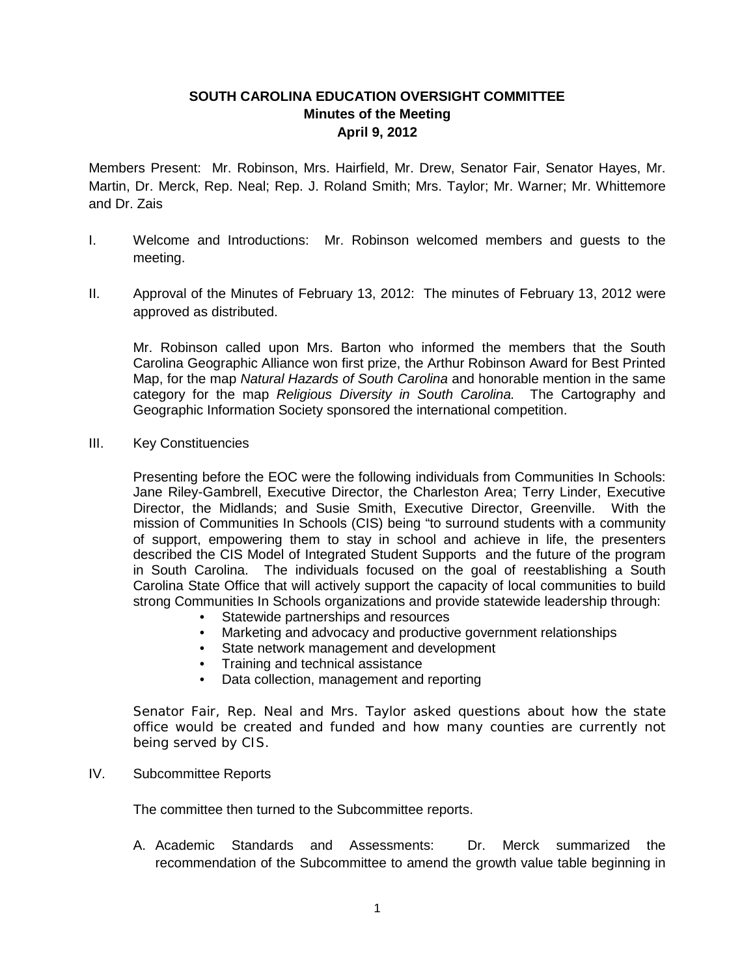# **SOUTH CAROLINA EDUCATION OVERSIGHT COMMITTEE Minutes of the Meeting April 9, 2012**

Members Present: Mr. Robinson, Mrs. Hairfield, Mr. Drew, Senator Fair, Senator Hayes, Mr. Martin, Dr. Merck, Rep. Neal; Rep. J. Roland Smith; Mrs. Taylor; Mr. Warner; Mr. Whittemore and Dr. Zais

- I. Welcome and Introductions: Mr. Robinson welcomed members and guests to the meeting.
- II. Approval of the Minutes of February 13, 2012: The minutes of February 13, 2012 were approved as distributed.

Mr. Robinson called upon Mrs. Barton who informed the members that the South Carolina Geographic Alliance won first prize, the Arthur Robinson Award for Best Printed Map, for the map *Natural Hazards of South Carolina* and honorable mention in the same category for the map *Religious Diversity in South Carolina.* The Cartography and Geographic Information Society sponsored the international competition.

III. Key Constituencies

Presenting before the EOC were the following individuals from Communities In Schools: Jane Riley-Gambrell, Executive Director, the Charleston Area; Terry Linder, Executive Director, the Midlands; and Susie Smith, Executive Director, Greenville. With the mission of Communities In Schools (CIS) being "to surround students with a community of support, empowering them to stay in school and achieve in life, the presenters described the CIS Model of Integrated Student Supports and the future of the program in South Carolina. The individuals focused on the goal of reestablishing a South Carolina State Office that will actively support the capacity of local communities to build strong Communities In Schools organizations and provide statewide leadership through:

- Statewide partnerships and resources
- Marketing and advocacy and productive government relationships
- State network management and development
- Training and technical assistance
- Data collection, management and reporting

Senator Fair, Rep. Neal and Mrs. Taylor asked questions about how the state office would be created and funded and how many counties are currently not being served by CIS.

IV. Subcommittee Reports

The committee then turned to the Subcommittee reports.

A. Academic Standards and Assessments: Dr. Merck summarized the recommendation of the Subcommittee to amend the growth value table beginning in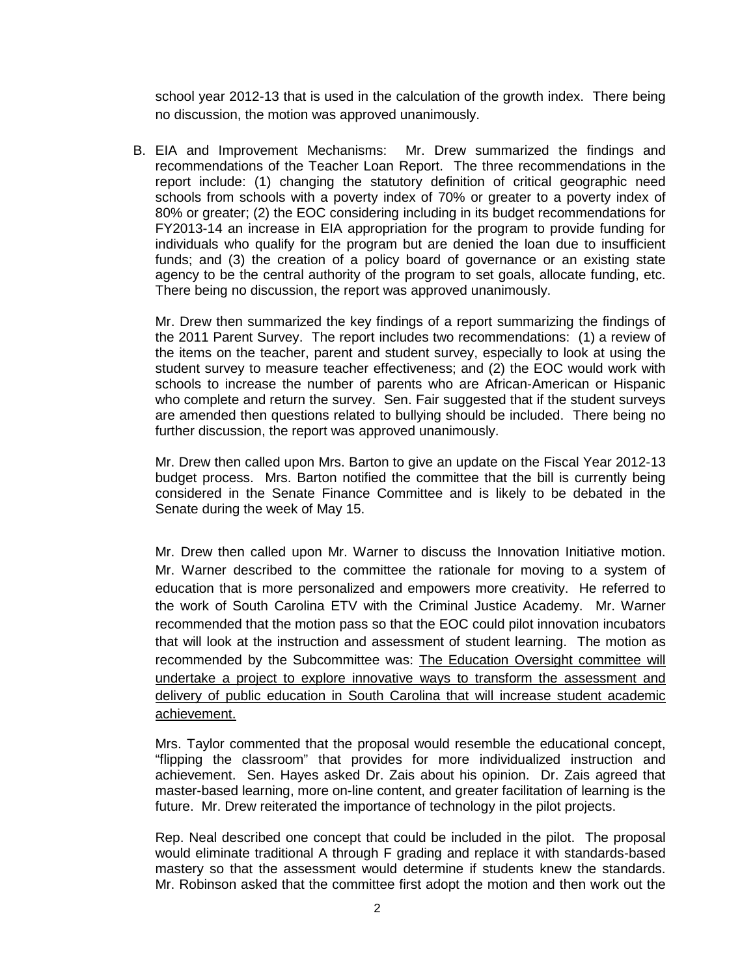school year 2012-13 that is used in the calculation of the growth index. There being no discussion, the motion was approved unanimously.

B. EIA and Improvement Mechanisms: Mr. Drew summarized the findings and recommendations of the Teacher Loan Report. The three recommendations in the report include: (1) changing the statutory definition of critical geographic need schools from schools with a poverty index of 70% or greater to a poverty index of 80% or greater; (2) the EOC considering including in its budget recommendations for FY2013-14 an increase in EIA appropriation for the program to provide funding for individuals who qualify for the program but are denied the loan due to insufficient funds; and (3) the creation of a policy board of governance or an existing state agency to be the central authority of the program to set goals, allocate funding, etc. There being no discussion, the report was approved unanimously.

Mr. Drew then summarized the key findings of a report summarizing the findings of the 2011 Parent Survey. The report includes two recommendations: (1) a review of the items on the teacher, parent and student survey, especially to look at using the student survey to measure teacher effectiveness; and (2) the EOC would work with schools to increase the number of parents who are African-American or Hispanic who complete and return the survey. Sen. Fair suggested that if the student surveys are amended then questions related to bullying should be included. There being no further discussion, the report was approved unanimously.

Mr. Drew then called upon Mrs. Barton to give an update on the Fiscal Year 2012-13 budget process. Mrs. Barton notified the committee that the bill is currently being considered in the Senate Finance Committee and is likely to be debated in the Senate during the week of May 15.

Mr. Drew then called upon Mr. Warner to discuss the Innovation Initiative motion. Mr. Warner described to the committee the rationale for moving to a system of education that is more personalized and empowers more creativity. He referred to the work of South Carolina ETV with the Criminal Justice Academy. Mr. Warner recommended that the motion pass so that the EOC could pilot innovation incubators that will look at the instruction and assessment of student learning. The motion as recommended by the Subcommittee was: The Education Oversight committee will undertake a project to explore innovative ways to transform the assessment and delivery of public education in South Carolina that will increase student academic achievement.

Mrs. Taylor commented that the proposal would resemble the educational concept, "flipping the classroom" that provides for more individualized instruction and achievement. Sen. Hayes asked Dr. Zais about his opinion. Dr. Zais agreed that master-based learning, more on-line content, and greater facilitation of learning is the future. Mr. Drew reiterated the importance of technology in the pilot projects.

Rep. Neal described one concept that could be included in the pilot. The proposal would eliminate traditional A through F grading and replace it with standards-based mastery so that the assessment would determine if students knew the standards. Mr. Robinson asked that the committee first adopt the motion and then work out the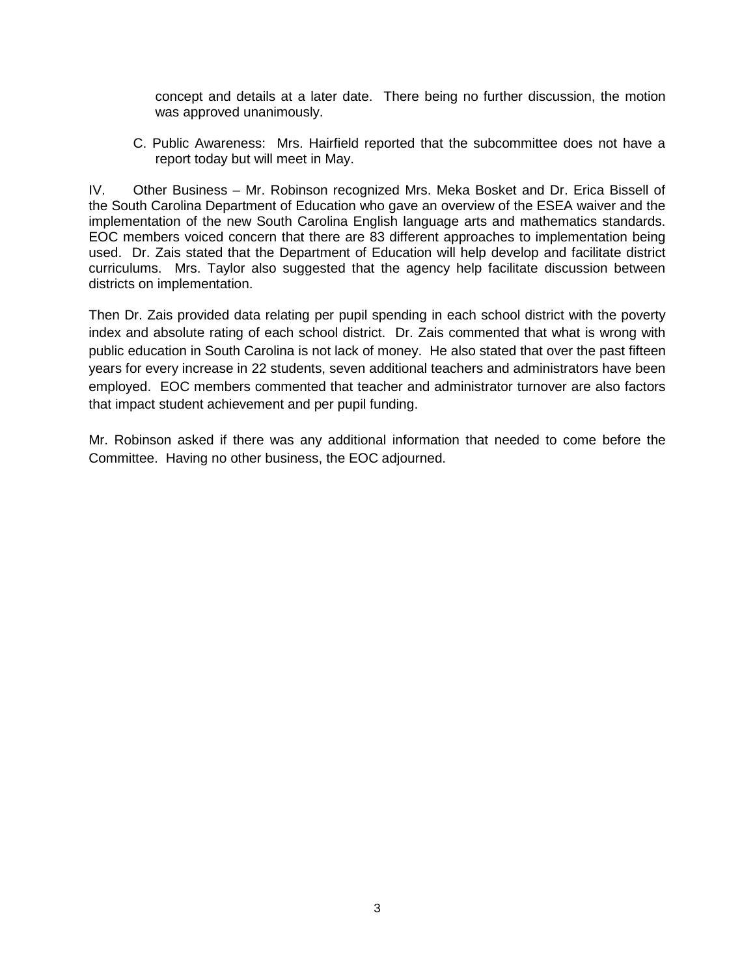concept and details at a later date. There being no further discussion, the motion was approved unanimously.

C. Public Awareness: Mrs. Hairfield reported that the subcommittee does not have a report today but will meet in May.

IV. Other Business – Mr. Robinson recognized Mrs. Meka Bosket and Dr. Erica Bissell of the South Carolina Department of Education who gave an overview of the ESEA waiver and the implementation of the new South Carolina English language arts and mathematics standards. EOC members voiced concern that there are 83 different approaches to implementation being used. Dr. Zais stated that the Department of Education will help develop and facilitate district curriculums. Mrs. Taylor also suggested that the agency help facilitate discussion between districts on implementation.

Then Dr. Zais provided data relating per pupil spending in each school district with the poverty index and absolute rating of each school district. Dr. Zais commented that what is wrong with public education in South Carolina is not lack of money. He also stated that over the past fifteen years for every increase in 22 students, seven additional teachers and administrators have been employed. EOC members commented that teacher and administrator turnover are also factors that impact student achievement and per pupil funding.

Mr. Robinson asked if there was any additional information that needed to come before the Committee. Having no other business, the EOC adjourned.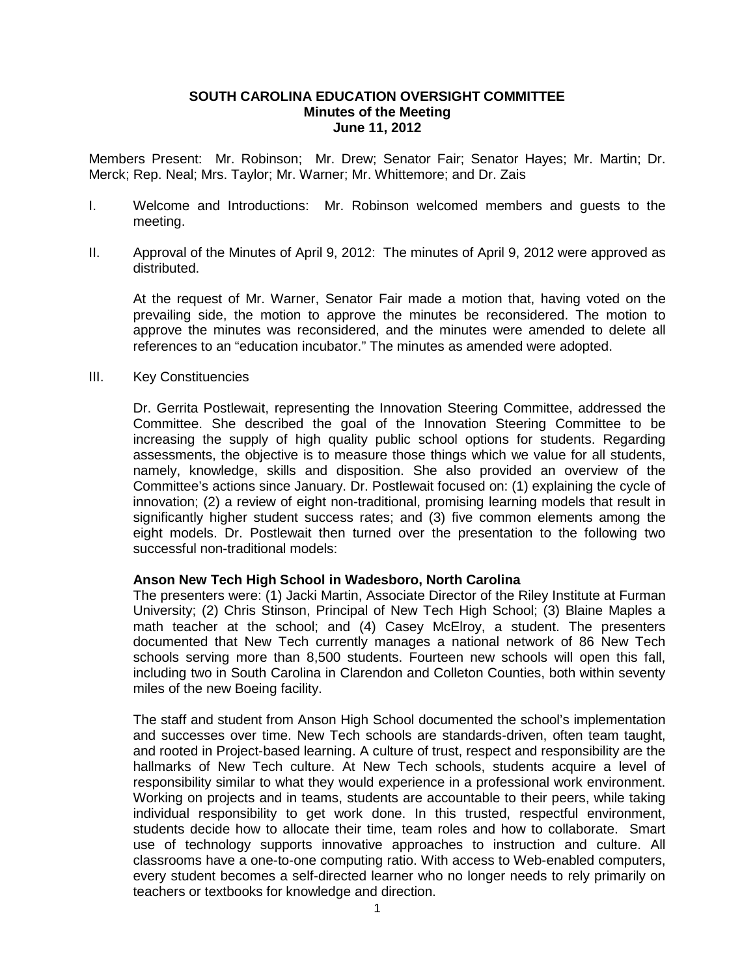### **SOUTH CAROLINA EDUCATION OVERSIGHT COMMITTEE Minutes of the Meeting June 11, 2012**

Members Present: Mr. Robinson; Mr. Drew; Senator Fair; Senator Hayes; Mr. Martin; Dr. Merck; Rep. Neal; Mrs. Taylor; Mr. Warner; Mr. Whittemore; and Dr. Zais

- I. Welcome and Introductions: Mr. Robinson welcomed members and guests to the meeting.
- II. Approval of the Minutes of April 9, 2012: The minutes of April 9, 2012 were approved as distributed.

At the request of Mr. Warner, Senator Fair made a motion that, having voted on the prevailing side, the motion to approve the minutes be reconsidered. The motion to approve the minutes was reconsidered, and the minutes were amended to delete all references to an "education incubator." The minutes as amended were adopted.

III. Key Constituencies

Dr. Gerrita Postlewait, representing the Innovation Steering Committee, addressed the Committee. She described the goal of the Innovation Steering Committee to be increasing the supply of high quality public school options for students. Regarding assessments, the objective is to measure those things which we value for all students, namely, knowledge, skills and disposition. She also provided an overview of the Committee's actions since January. Dr. Postlewait focused on: (1) explaining the cycle of innovation; (2) a review of eight non-traditional, promising learning models that result in significantly higher student success rates; and (3) five common elements among the eight models. Dr. Postlewait then turned over the presentation to the following two successful non-traditional models:

## **Anson New Tech High School in Wadesboro, North Carolina**

The presenters were: (1) Jacki Martin, Associate Director of the Riley Institute at Furman University; (2) Chris Stinson, Principal of New Tech High School; (3) Blaine Maples a math teacher at the school; and (4) Casey McElroy, a student. The presenters documented that New Tech currently manages a national network of 86 New Tech schools serving more than 8,500 students. Fourteen new schools will open this fall, including two in South Carolina in Clarendon and Colleton Counties, both within seventy miles of the new Boeing facility.

The staff and student from Anson High School documented the school's implementation and successes over time. New Tech schools are standards-driven, often team taught, and rooted in Project-based learning. A culture of trust, respect and responsibility are the hallmarks of New Tech culture. At New Tech schools, students acquire a level of responsibility similar to what they would experience in a professional work environment. Working on projects and in teams, students are accountable to their peers, while taking individual responsibility to get work done. In this trusted, respectful environment, students decide how to allocate their time, team roles and how to collaborate. Smart use of technology supports innovative approaches to instruction and culture. All classrooms have a one-to-one computing ratio. With access to Web-enabled computers, every student becomes a self-directed learner who no longer needs to rely primarily on teachers or textbooks for knowledge and direction.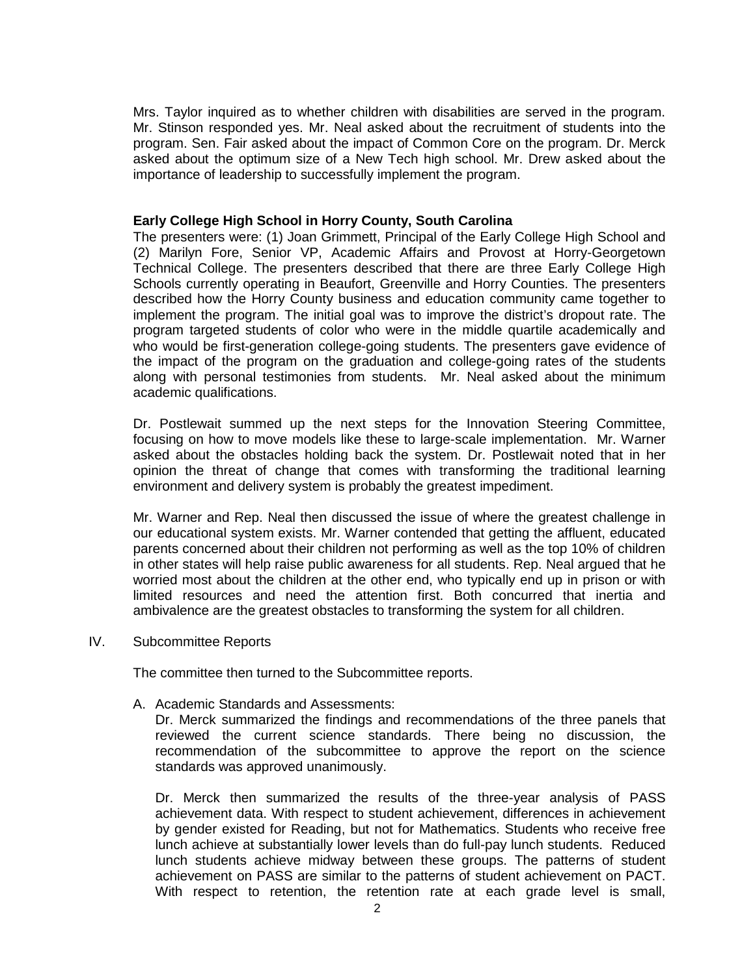Mrs. Taylor inquired as to whether children with disabilities are served in the program. Mr. Stinson responded yes. Mr. Neal asked about the recruitment of students into the program. Sen. Fair asked about the impact of Common Core on the program. Dr. Merck asked about the optimum size of a New Tech high school. Mr. Drew asked about the importance of leadership to successfully implement the program.

#### **Early College High School in Horry County, South Carolina**

The presenters were: (1) Joan Grimmett, Principal of the Early College High School and (2) Marilyn Fore, Senior VP, Academic Affairs and Provost at Horry-Georgetown Technical College. The presenters described that there are three Early College High Schools currently operating in Beaufort, Greenville and Horry Counties. The presenters described how the Horry County business and education community came together to implement the program. The initial goal was to improve the district's dropout rate. The program targeted students of color who were in the middle quartile academically and who would be first-generation college-going students. The presenters gave evidence of the impact of the program on the graduation and college-going rates of the students along with personal testimonies from students. Mr. Neal asked about the minimum academic qualifications.

Dr. Postlewait summed up the next steps for the Innovation Steering Committee, focusing on how to move models like these to large-scale implementation. Mr. Warner asked about the obstacles holding back the system. Dr. Postlewait noted that in her opinion the threat of change that comes with transforming the traditional learning environment and delivery system is probably the greatest impediment.

Mr. Warner and Rep. Neal then discussed the issue of where the greatest challenge in our educational system exists. Mr. Warner contended that getting the affluent, educated parents concerned about their children not performing as well as the top 10% of children in other states will help raise public awareness for all students. Rep. Neal argued that he worried most about the children at the other end, who typically end up in prison or with limited resources and need the attention first. Both concurred that inertia and ambivalence are the greatest obstacles to transforming the system for all children.

IV. Subcommittee Reports

The committee then turned to the Subcommittee reports.

A. Academic Standards and Assessments:

Dr. Merck summarized the findings and recommendations of the three panels that reviewed the current science standards. There being no discussion, the recommendation of the subcommittee to approve the report on the science standards was approved unanimously.

Dr. Merck then summarized the results of the three-year analysis of PASS achievement data. With respect to student achievement, differences in achievement by gender existed for Reading, but not for Mathematics. Students who receive free lunch achieve at substantially lower levels than do full-pay lunch students. Reduced lunch students achieve midway between these groups. The patterns of student achievement on PASS are similar to the patterns of student achievement on PACT. With respect to retention, the retention rate at each grade level is small,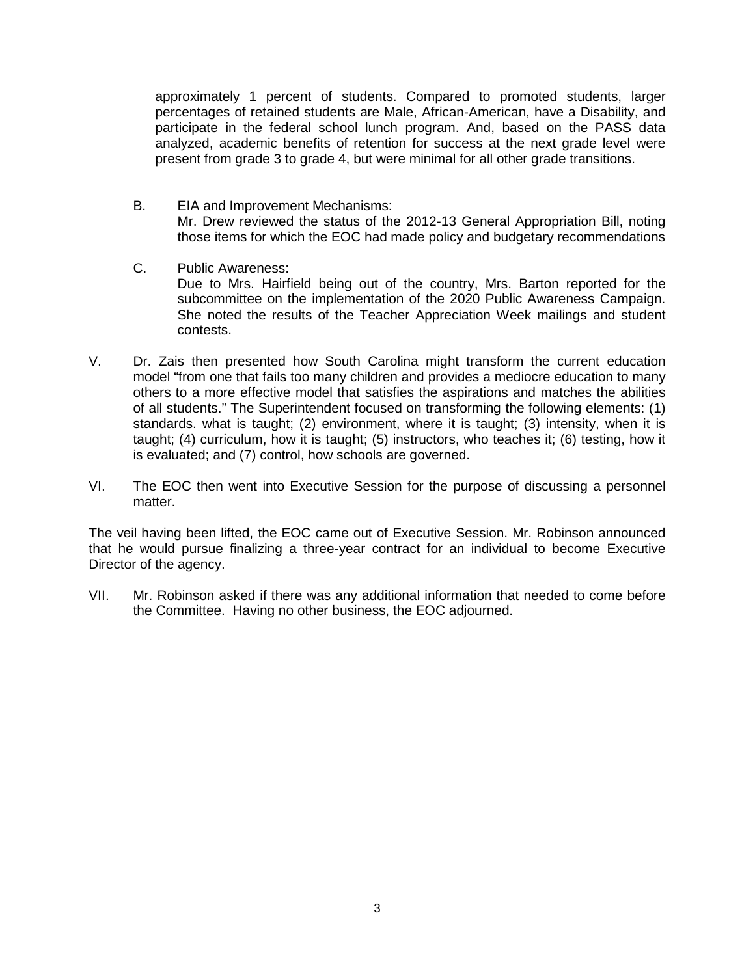approximately 1 percent of students. Compared to promoted students, larger percentages of retained students are Male, African-American, have a Disability, and participate in the federal school lunch program. And, based on the PASS data analyzed, academic benefits of retention for success at the next grade level were present from grade 3 to grade 4, but were minimal for all other grade transitions.

- B. EIA and Improvement Mechanisms: Mr. Drew reviewed the status of the 2012-13 General Appropriation Bill, noting those items for which the EOC had made policy and budgetary recommendations
- C. Public Awareness: Due to Mrs. Hairfield being out of the country, Mrs. Barton reported for the subcommittee on the implementation of the 2020 Public Awareness Campaign. She noted the results of the Teacher Appreciation Week mailings and student contests.
- V. Dr. Zais then presented how South Carolina might transform the current education model "from one that fails too many children and provides a mediocre education to many others to a more effective model that satisfies the aspirations and matches the abilities of all students." The Superintendent focused on transforming the following elements: (1) standards. what is taught; (2) environment, where it is taught; (3) intensity, when it is taught; (4) curriculum, how it is taught; (5) instructors, who teaches it; (6) testing, how it is evaluated; and (7) control, how schools are governed.
- VI. The EOC then went into Executive Session for the purpose of discussing a personnel matter.

The veil having been lifted, the EOC came out of Executive Session. Mr. Robinson announced that he would pursue finalizing a three-year contract for an individual to become Executive Director of the agency.

VII. Mr. Robinson asked if there was any additional information that needed to come before the Committee. Having no other business, the EOC adjourned.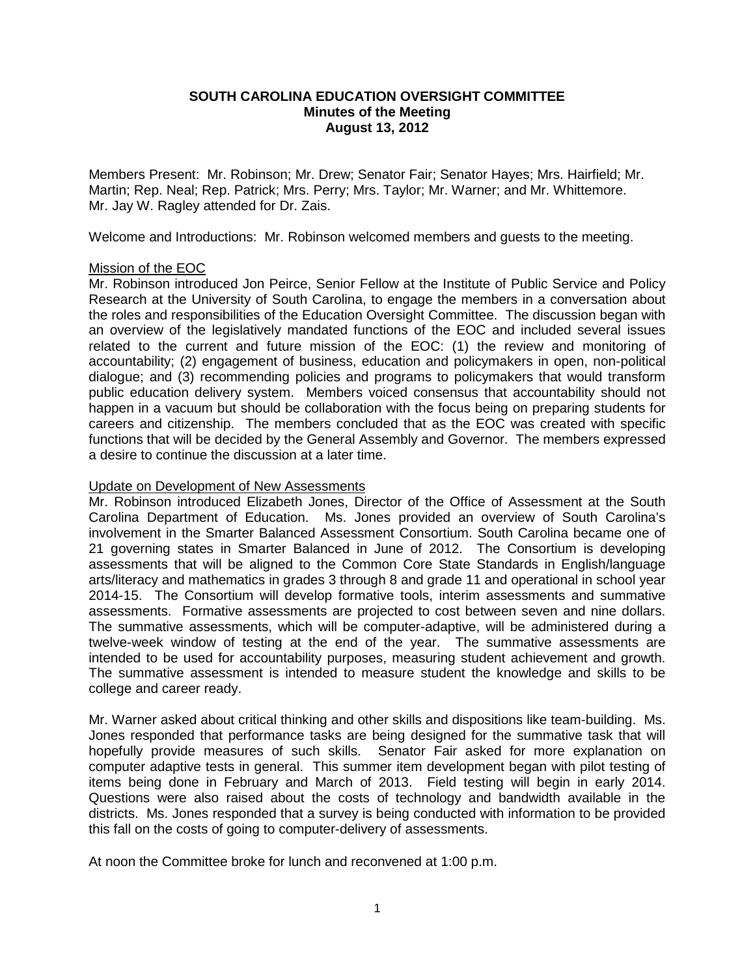## **SOUTH CAROLINA EDUCATION OVERSIGHT COMMITTEE Minutes of the Meeting August 13, 2012**

Members Present: Mr. Robinson; Mr. Drew; Senator Fair; Senator Hayes; Mrs. Hairfield; Mr. Martin; Rep. Neal; Rep. Patrick; Mrs. Perry; Mrs. Taylor; Mr. Warner; and Mr. Whittemore. Mr. Jay W. Ragley attended for Dr. Zais.

Welcome and Introductions: Mr. Robinson welcomed members and guests to the meeting.

## Mission of the EOC

Mr. Robinson introduced Jon Peirce, Senior Fellow at the Institute of Public Service and Policy Research at the University of South Carolina, to engage the members in a conversation about the roles and responsibilities of the Education Oversight Committee. The discussion began with an overview of the legislatively mandated functions of the EOC and included several issues related to the current and future mission of the EOC: (1) the review and monitoring of accountability; (2) engagement of business, education and policymakers in open, non-political dialogue; and (3) recommending policies and programs to policymakers that would transform public education delivery system. Members voiced consensus that accountability should not happen in a vacuum but should be collaboration with the focus being on preparing students for careers and citizenship. The members concluded that as the EOC was created with specific functions that will be decided by the General Assembly and Governor. The members expressed a desire to continue the discussion at a later time.

#### Update on Development of New Assessments

Mr. Robinson introduced Elizabeth Jones, Director of the Office of Assessment at the South Carolina Department of Education. Ms. Jones provided an overview of South Carolina's involvement in the Smarter Balanced Assessment Consortium. South Carolina became one of 21 governing states in Smarter Balanced in June of 2012. The Consortium is developing assessments that will be aligned to the Common Core State Standards in English/language arts/literacy and mathematics in grades 3 through 8 and grade 11 and operational in school year 2014-15. The Consortium will develop formative tools, interim assessments and summative assessments. Formative assessments are projected to cost between seven and nine dollars. The summative assessments, which will be computer-adaptive, will be administered during a twelve-week window of testing at the end of the year. The summative assessments are intended to be used for accountability purposes, measuring student achievement and growth. The summative assessment is intended to measure student the knowledge and skills to be college and career ready.

Mr. Warner asked about critical thinking and other skills and dispositions like team-building. Ms. Jones responded that performance tasks are being designed for the summative task that will hopefully provide measures of such skills. Senator Fair asked for more explanation on computer adaptive tests in general. This summer item development began with pilot testing of items being done in February and March of 2013. Field testing will begin in early 2014. Questions were also raised about the costs of technology and bandwidth available in the districts. Ms. Jones responded that a survey is being conducted with information to be provided this fall on the costs of going to computer-delivery of assessments.

At noon the Committee broke for lunch and reconvened at 1:00 p.m.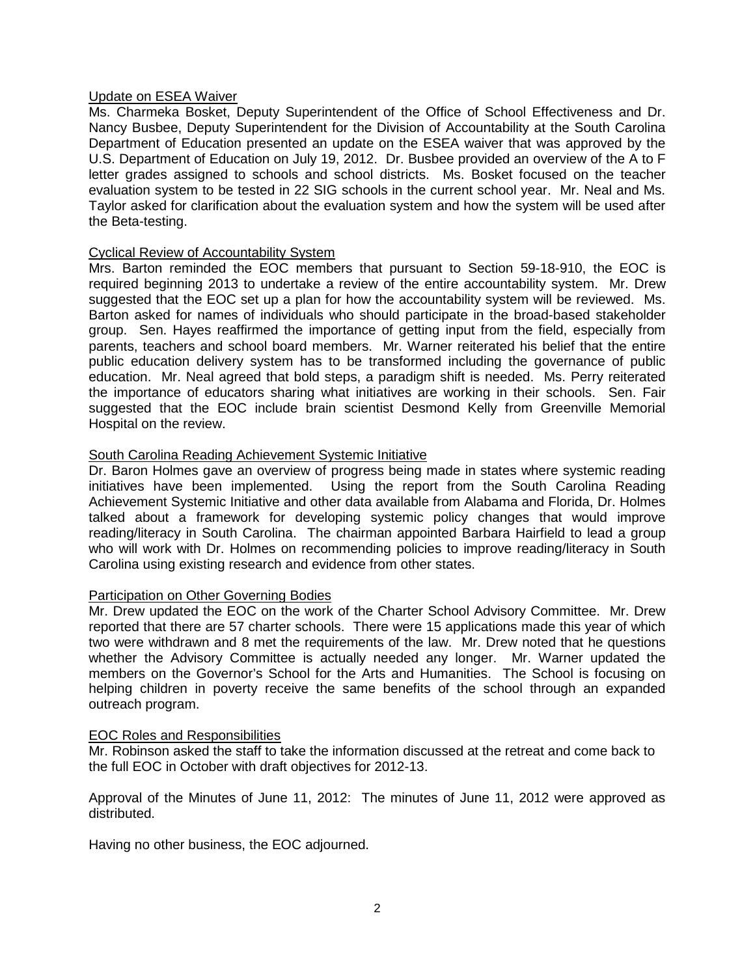#### Update on ESEA Waiver

Ms. Charmeka Bosket, Deputy Superintendent of the Office of School Effectiveness and Dr. Nancy Busbee, Deputy Superintendent for the Division of Accountability at the South Carolina Department of Education presented an update on the ESEA waiver that was approved by the U.S. Department of Education on July 19, 2012. Dr. Busbee provided an overview of the A to F letter grades assigned to schools and school districts. Ms. Bosket focused on the teacher evaluation system to be tested in 22 SIG schools in the current school year. Mr. Neal and Ms. Taylor asked for clarification about the evaluation system and how the system will be used after the Beta-testing.

#### Cyclical Review of Accountability System

Mrs. Barton reminded the EOC members that pursuant to Section 59-18-910, the EOC is required beginning 2013 to undertake a review of the entire accountability system. Mr. Drew suggested that the EOC set up a plan for how the accountability system will be reviewed. Ms. Barton asked for names of individuals who should participate in the broad-based stakeholder group. Sen. Hayes reaffirmed the importance of getting input from the field, especially from parents, teachers and school board members. Mr. Warner reiterated his belief that the entire public education delivery system has to be transformed including the governance of public education. Mr. Neal agreed that bold steps, a paradigm shift is needed. Ms. Perry reiterated the importance of educators sharing what initiatives are working in their schools. Sen. Fair suggested that the EOC include brain scientist Desmond Kelly from Greenville Memorial Hospital on the review.

## South Carolina Reading Achievement Systemic Initiative

Dr. Baron Holmes gave an overview of progress being made in states where systemic reading initiatives have been implemented. Using the report from the South Carolina Reading Achievement Systemic Initiative and other data available from Alabama and Florida, Dr. Holmes talked about a framework for developing systemic policy changes that would improve reading/literacy in South Carolina. The chairman appointed Barbara Hairfield to lead a group who will work with Dr. Holmes on recommending policies to improve reading/literacy in South Carolina using existing research and evidence from other states.

## Participation on Other Governing Bodies

Mr. Drew updated the EOC on the work of the Charter School Advisory Committee. Mr. Drew reported that there are 57 charter schools. There were 15 applications made this year of which two were withdrawn and 8 met the requirements of the law. Mr. Drew noted that he questions whether the Advisory Committee is actually needed any longer. Mr. Warner updated the members on the Governor's School for the Arts and Humanities. The School is focusing on helping children in poverty receive the same benefits of the school through an expanded outreach program.

#### EOC Roles and Responsibilities

Mr. Robinson asked the staff to take the information discussed at the retreat and come back to the full EOC in October with draft objectives for 2012-13.

Approval of the Minutes of June 11, 2012: The minutes of June 11, 2012 were approved as distributed.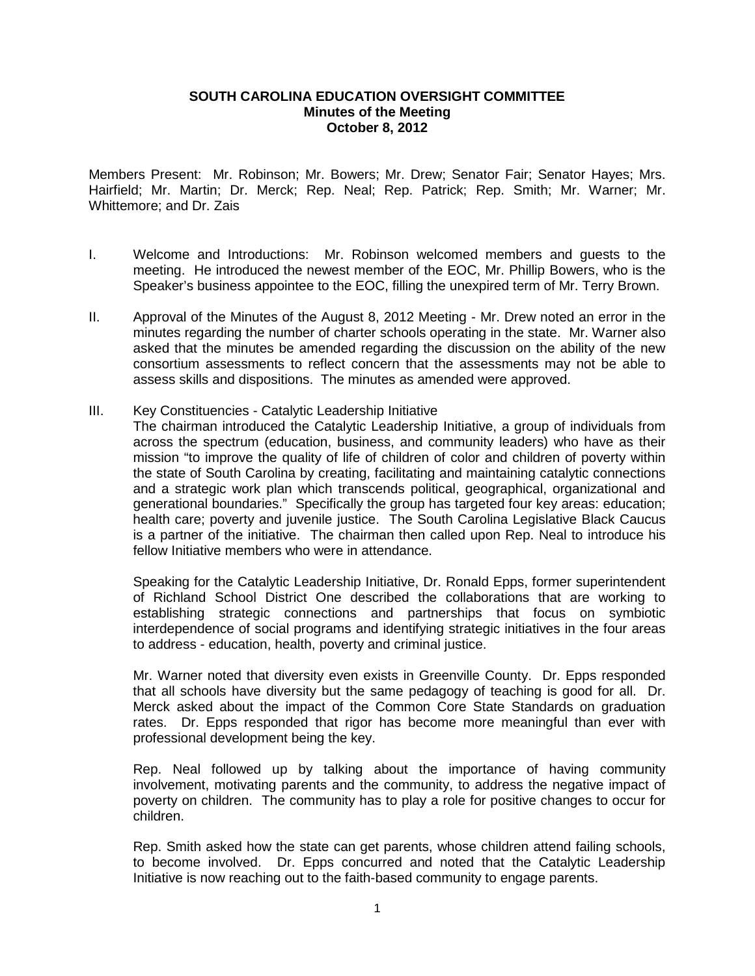### **SOUTH CAROLINA EDUCATION OVERSIGHT COMMITTEE Minutes of the Meeting October 8, 2012**

Members Present: Mr. Robinson; Mr. Bowers; Mr. Drew; Senator Fair; Senator Hayes; Mrs. Hairfield; Mr. Martin; Dr. Merck; Rep. Neal; Rep. Patrick; Rep. Smith; Mr. Warner; Mr. Whittemore; and Dr. Zais

- I. Welcome and Introductions: Mr. Robinson welcomed members and guests to the meeting. He introduced the newest member of the EOC, Mr. Phillip Bowers, who is the Speaker's business appointee to the EOC, filling the unexpired term of Mr. Terry Brown.
- II. Approval of the Minutes of the August 8, 2012 Meeting Mr. Drew noted an error in the minutes regarding the number of charter schools operating in the state. Mr. Warner also asked that the minutes be amended regarding the discussion on the ability of the new consortium assessments to reflect concern that the assessments may not be able to assess skills and dispositions. The minutes as amended were approved.
- III. Key Constituencies Catalytic Leadership Initiative
	- The chairman introduced the Catalytic Leadership Initiative, a group of individuals from across the spectrum (education, business, and community leaders) who have as their mission "to improve the quality of life of children of color and children of poverty within the state of South Carolina by creating, facilitating and maintaining catalytic connections and a strategic work plan which transcends political, geographical, organizational and generational boundaries." Specifically the group has targeted four key areas: education; health care; poverty and juvenile justice. The South Carolina Legislative Black Caucus is a partner of the initiative. The chairman then called upon Rep. Neal to introduce his fellow Initiative members who were in attendance.

Speaking for the Catalytic Leadership Initiative, Dr. Ronald Epps, former superintendent of Richland School District One described the collaborations that are working to establishing strategic connections and partnerships that focus on symbiotic interdependence of social programs and identifying strategic initiatives in the four areas to address - education, health, poverty and criminal justice.

Mr. Warner noted that diversity even exists in Greenville County. Dr. Epps responded that all schools have diversity but the same pedagogy of teaching is good for all. Dr. Merck asked about the impact of the Common Core State Standards on graduation rates. Dr. Epps responded that rigor has become more meaningful than ever with professional development being the key.

Rep. Neal followed up by talking about the importance of having community involvement, motivating parents and the community, to address the negative impact of poverty on children. The community has to play a role for positive changes to occur for children.

Rep. Smith asked how the state can get parents, whose children attend failing schools, to become involved. Dr. Epps concurred and noted that the Catalytic Leadership Initiative is now reaching out to the faith-based community to engage parents.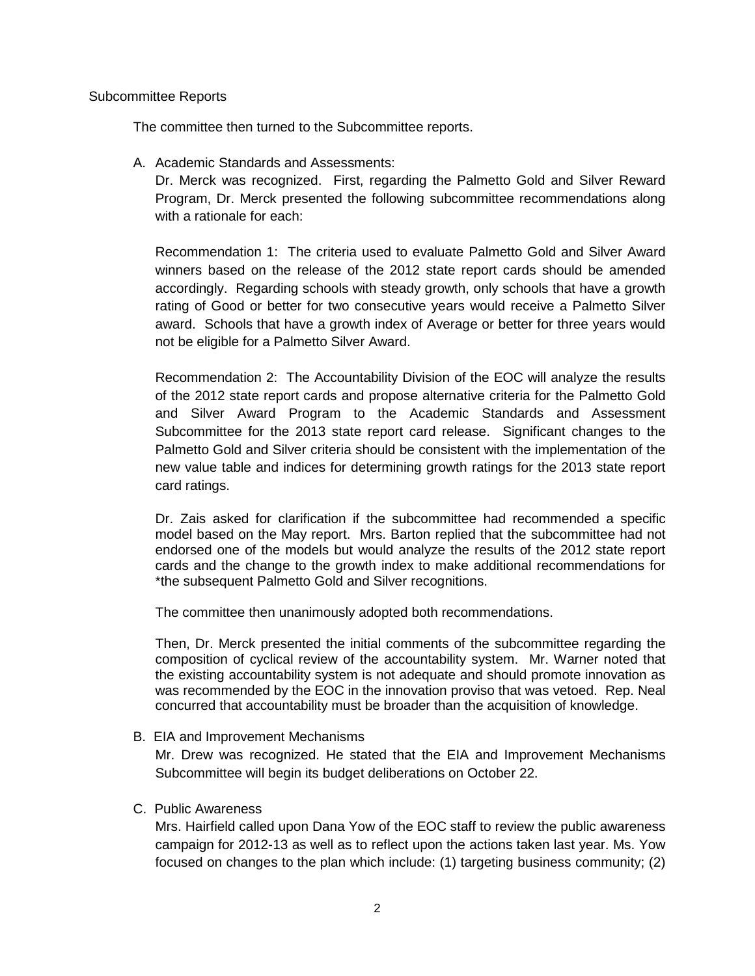# Subcommittee Reports

The committee then turned to the Subcommittee reports.

A. Academic Standards and Assessments:

Dr. Merck was recognized. First, regarding the Palmetto Gold and Silver Reward Program, Dr. Merck presented the following subcommittee recommendations along with a rationale for each:

Recommendation 1: The criteria used to evaluate Palmetto Gold and Silver Award winners based on the release of the 2012 state report cards should be amended accordingly. Regarding schools with steady growth, only schools that have a growth rating of Good or better for two consecutive years would receive a Palmetto Silver award. Schools that have a growth index of Average or better for three years would not be eligible for a Palmetto Silver Award.

Recommendation 2: The Accountability Division of the EOC will analyze the results of the 2012 state report cards and propose alternative criteria for the Palmetto Gold and Silver Award Program to the Academic Standards and Assessment Subcommittee for the 2013 state report card release. Significant changes to the Palmetto Gold and Silver criteria should be consistent with the implementation of the new value table and indices for determining growth ratings for the 2013 state report card ratings.

Dr. Zais asked for clarification if the subcommittee had recommended a specific model based on the May report. Mrs. Barton replied that the subcommittee had not endorsed one of the models but would analyze the results of the 2012 state report cards and the change to the growth index to make additional recommendations for \*the subsequent Palmetto Gold and Silver recognitions.

The committee then unanimously adopted both recommendations.

Then, Dr. Merck presented the initial comments of the subcommittee regarding the composition of cyclical review of the accountability system. Mr. Warner noted that the existing accountability system is not adequate and should promote innovation as was recommended by the EOC in the innovation proviso that was vetoed. Rep. Neal concurred that accountability must be broader than the acquisition of knowledge.

B. EIA and Improvement Mechanisms

Mr. Drew was recognized. He stated that the EIA and Improvement Mechanisms Subcommittee will begin its budget deliberations on October 22.

# C. Public Awareness

Mrs. Hairfield called upon Dana Yow of the EOC staff to review the public awareness campaign for 2012-13 as well as to reflect upon the actions taken last year. Ms. Yow focused on changes to the plan which include: (1) targeting business community; (2)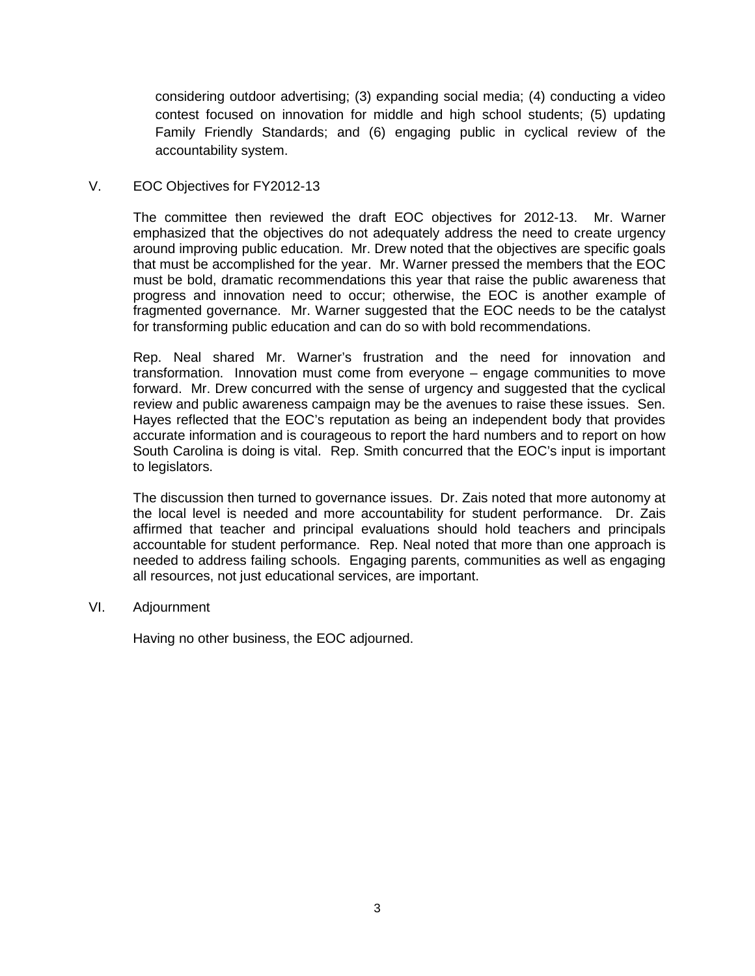considering outdoor advertising; (3) expanding social media; (4) conducting a video contest focused on innovation for middle and high school students; (5) updating Family Friendly Standards; and (6) engaging public in cyclical review of the accountability system.

# V. EOC Objectives for FY2012-13

The committee then reviewed the draft EOC objectives for 2012-13. Mr. Warner emphasized that the objectives do not adequately address the need to create urgency around improving public education. Mr. Drew noted that the objectives are specific goals that must be accomplished for the year. Mr. Warner pressed the members that the EOC must be bold, dramatic recommendations this year that raise the public awareness that progress and innovation need to occur; otherwise, the EOC is another example of fragmented governance. Mr. Warner suggested that the EOC needs to be the catalyst for transforming public education and can do so with bold recommendations.

Rep. Neal shared Mr. Warner's frustration and the need for innovation and transformation. Innovation must come from everyone – engage communities to move forward. Mr. Drew concurred with the sense of urgency and suggested that the cyclical review and public awareness campaign may be the avenues to raise these issues. Sen. Hayes reflected that the EOC's reputation as being an independent body that provides accurate information and is courageous to report the hard numbers and to report on how South Carolina is doing is vital. Rep. Smith concurred that the EOC's input is important to legislators.

The discussion then turned to governance issues. Dr. Zais noted that more autonomy at the local level is needed and more accountability for student performance. Dr. Zais affirmed that teacher and principal evaluations should hold teachers and principals accountable for student performance. Rep. Neal noted that more than one approach is needed to address failing schools. Engaging parents, communities as well as engaging all resources, not just educational services, are important.

VI. Adjournment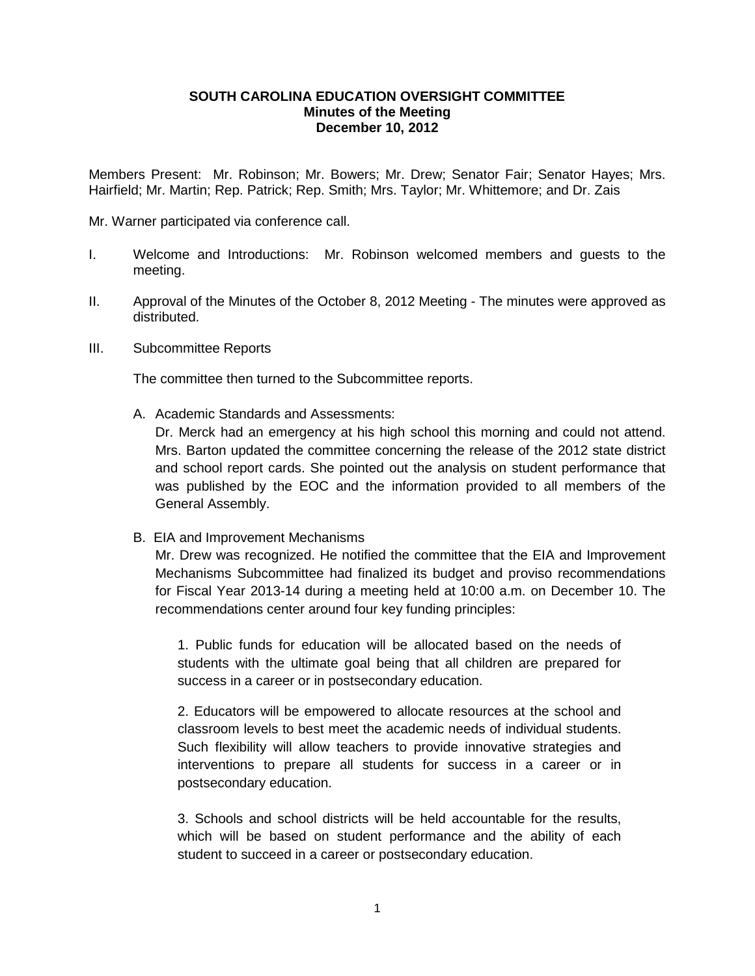## **SOUTH CAROLINA EDUCATION OVERSIGHT COMMITTEE Minutes of the Meeting December 10, 2012**

Members Present: Mr. Robinson; Mr. Bowers; Mr. Drew; Senator Fair; Senator Hayes; Mrs. Hairfield; Mr. Martin; Rep. Patrick; Rep. Smith; Mrs. Taylor; Mr. Whittemore; and Dr. Zais

Mr. Warner participated via conference call.

- I. Welcome and Introductions: Mr. Robinson welcomed members and guests to the meeting.
- II. Approval of the Minutes of the October 8, 2012 Meeting The minutes were approved as distributed.
- III. Subcommittee Reports

The committee then turned to the Subcommittee reports.

A. Academic Standards and Assessments:

Dr. Merck had an emergency at his high school this morning and could not attend. Mrs. Barton updated the committee concerning the release of the 2012 state district and school report cards. She pointed out the analysis on student performance that was published by the EOC and the information provided to all members of the General Assembly.

B. EIA and Improvement Mechanisms

Mr. Drew was recognized. He notified the committee that the EIA and Improvement Mechanisms Subcommittee had finalized its budget and proviso recommendations for Fiscal Year 2013-14 during a meeting held at 10:00 a.m. on December 10. The recommendations center around four key funding principles:

1. Public funds for education will be allocated based on the needs of students with the ultimate goal being that all children are prepared for success in a career or in postsecondary education.

2. Educators will be empowered to allocate resources at the school and classroom levels to best meet the academic needs of individual students. Such flexibility will allow teachers to provide innovative strategies and interventions to prepare all students for success in a career or in postsecondary education.

3. Schools and school districts will be held accountable for the results, which will be based on student performance and the ability of each student to succeed in a career or postsecondary education.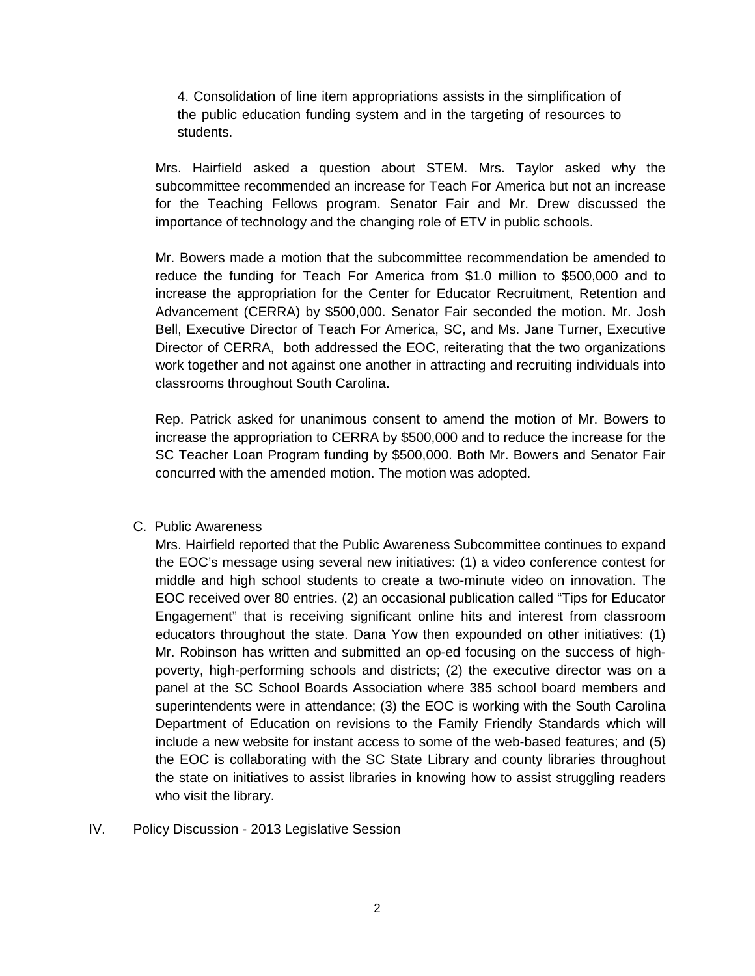4. Consolidation of line item appropriations assists in the simplification of the public education funding system and in the targeting of resources to students.

Mrs. Hairfield asked a question about STEM. Mrs. Taylor asked why the subcommittee recommended an increase for Teach For America but not an increase for the Teaching Fellows program. Senator Fair and Mr. Drew discussed the importance of technology and the changing role of ETV in public schools.

Mr. Bowers made a motion that the subcommittee recommendation be amended to reduce the funding for Teach For America from \$1.0 million to \$500,000 and to increase the appropriation for the Center for Educator Recruitment, Retention and Advancement (CERRA) by \$500,000. Senator Fair seconded the motion. Mr. Josh Bell, Executive Director of Teach For America, SC, and Ms. Jane Turner, Executive Director of CERRA, both addressed the EOC, reiterating that the two organizations work together and not against one another in attracting and recruiting individuals into classrooms throughout South Carolina.

Rep. Patrick asked for unanimous consent to amend the motion of Mr. Bowers to increase the appropriation to CERRA by \$500,000 and to reduce the increase for the SC Teacher Loan Program funding by \$500,000. Both Mr. Bowers and Senator Fair concurred with the amended motion. The motion was adopted.

# C. Public Awareness

Mrs. Hairfield reported that the Public Awareness Subcommittee continues to expand the EOC's message using several new initiatives: (1) a video conference contest for middle and high school students to create a two-minute video on innovation. The EOC received over 80 entries. (2) an occasional publication called "Tips for Educator Engagement" that is receiving significant online hits and interest from classroom educators throughout the state. Dana Yow then expounded on other initiatives: (1) Mr. Robinson has written and submitted an op-ed focusing on the success of highpoverty, high-performing schools and districts; (2) the executive director was on a panel at the SC School Boards Association where 385 school board members and superintendents were in attendance; (3) the EOC is working with the South Carolina Department of Education on revisions to the Family Friendly Standards which will include a new website for instant access to some of the web-based features; and (5) the EOC is collaborating with the SC State Library and county libraries throughout the state on initiatives to assist libraries in knowing how to assist struggling readers who visit the library.

# IV. Policy Discussion - 2013 Legislative Session